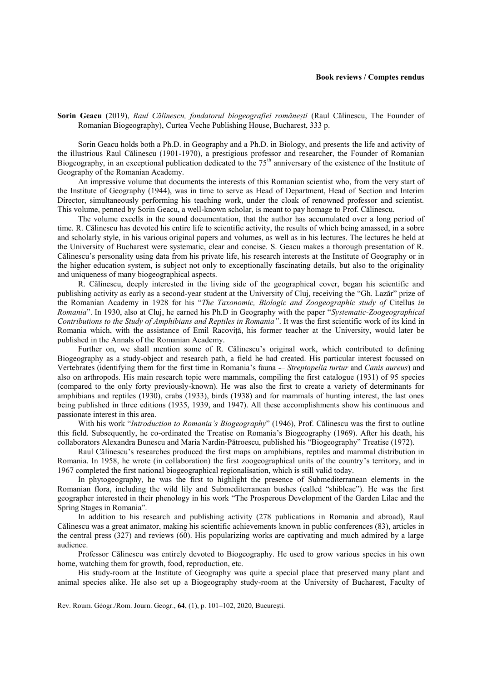## **Book reviews / Comptes rendus**

**Sorin Geacu** (2019), *Raul Călinescu, fondatorul biogeografiei românești* (Raul Călinescu, The Founder of Romanian Biogeography), Curtea Veche Publishing House, Bucharest, 333 p.

Sorin Geacu holds both a Ph.D. in Geography and a Ph.D. in Biology, and presents the life and activity of the illustrious Raul Călinescu (1901-1970), a prestigious professor and researcher, the Founder of Romanian Biogeography, in an exceptional publication dedicated to the 75<sup>th</sup> anniversary of the existence of the Institute of Geography of the Romanian Academy.

An impressive volume that documents the interests of this Romanian scientist who, from the very start of the Institute of Geography (1944), was in time to serve as Head of Department, Head of Section and Interim Director, simultaneously performing his teaching work, under the cloak of renowned professor and scientist. This volume, penned by Sorin Geacu, a well-known scholar, is meant to pay homage to Prof. Călinescu.

The volume excells in the sound documentation, that the author has accumulated over a long period of time. R. Călinescu has devoted his entire life to scientific activity, the results of which being amassed, in a sobre and scholarly style, in his various original papers and volumes, as well as in his lectures. The lectures he held at the University of Bucharest were systematic, clear and concise. S. Geacu makes a thorough presentation of R. Călinescu's personality using data from his private life, his research interests at the Institute of Geography or in the higher education system, is subject not only to exceptionally fascinating details, but also to the originality and uniqueness of many biogeographical aspects.

R. Călinescu, deeply interested in the living side of the geographical cover, began his scientific and publishing activity as early as a second-year student at the University of Cluj, receiving the "Gh. Lazăr" prize of the Romanian Academy in 1928 for his "*The Taxonomic, Biologic and Zoogeographic study of* Citellus *in Romania*". In 1930, also at Cluj, he earned his Ph.D in Geography with the paper "*Systematic-Zoogeographical Contributions to the Study of Amphibians and Reptiles in Romania"*. It was the first scientific work of its kind in Romania which, with the assistance of Emil Racoviță, his former teacher at the University, would later be published in the Annals of the Romanian Academy.

Further on, we shall mention some of R. Călinescu's original work, which contributed to defining Biogeography as a study-object and research path, a field he had created. His particular interest focussed on Vertebrates (identifying them for the first time in Romania's fauna -– *Streptopelia turtur* and *Canis aureus*) and also on arthropods. His main research topic were mammals, compiling the first catalogue (1931) of 95 species (compared to the only forty previously-known). He was also the first to create a variety of determinants for amphibians and reptiles (1930), crabs (1933), birds (1938) and for mammals of hunting interest, the last ones being published in three editions (1935, 1939, and 1947). All these accomplishments show his continuous and passionate interest in this area.

With his work "*Introduction to Romania's Biogeography*" (1946), Prof. Călinescu was the first to outline this field. Subsequently, he co-ordinated the Treatise on Romania's Biogeography (1969). After his death, his collaborators Alexandra Bunescu and Maria Nardin-Pătroescu, published his "Biogeography" Treatise (1972).

Raul Călinescu's researches produced the first maps on amphibians, reptiles and mammal distribution in Romania. In 1958, he wrote (in collaboration) the first zoogeographical units of the country's territory, and in 1967 completed the first national biogeographical regionalisation, which is still valid today.

In phytogeography, he was the first to highlight the presence of Submediterranean elements in the Romanian flora, including the wild lily and Submediterranean bushes (called "shibleac"). He was the first geographer interested in their phenology in his work "The Prosperous Development of the Garden Lilac and the Spring Stages in Romania".

In addition to his research and publishing activity (278 publications in Romania and abroad), Raul Călinescu was a great animator, making his scientific achievements known in public conferences (83), articles in the central press (327) and reviews (60). His popularizing works are captivating and much admired by a large audience.

Professor Călinescu was entirely devoted to Biogeography. He used to grow various species in his own home, watching them for growth, food, reproduction, etc.

His study-room at the Institute of Geography was quite a special place that preserved many plant and animal species alike. He also set up a Biogeography study-room at the University of Bucharest, Faculty of

Rev. Roum. Géogr./Rom. Journ. Geogr., **64**, (1), p. 101–102, 2020, Bucureşti.